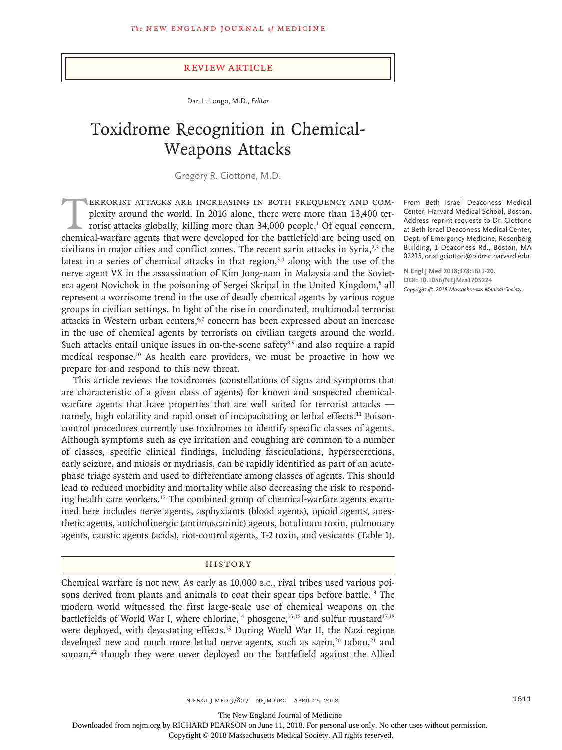## Review Article

Dan L. Longo, M.D., *Editor*

# Toxidrome Recognition in Chemical-Weapons Attacks

Gregory R. Ciottone, M.D.

ERRORIST ATTACKS ARE INCREASING IN BOTH FREQUENCY AND COM-<br>plexity around the world. In 2016 alone, there were more than 13,400 ter-<br>rorist attacks globally, killing more than 34,000 people.<sup>1</sup> Of equal concern,<br>chemical-w plexity around the world. In 2016 alone, there were more than 13,400 terrorist attacks globally, killing more than 34,000 people.<sup>1</sup> Of equal concern, chemical-warfare agents that were developed for the battlefield are being used on civilians in major cities and conflict zones. The recent sarin attacks in Syria, $23$  the latest in a series of chemical attacks in that region, $3,4$  along with the use of the nerve agent VX in the assassination of Kim Jong-nam in Malaysia and the Sovietera agent Novichok in the poisoning of Sergei Skripal in the United Kingdom,<sup>5</sup> all represent a worrisome trend in the use of deadly chemical agents by various rogue groups in civilian settings. In light of the rise in coordinated, multimodal terrorist attacks in Western urban centers,<sup>6,7</sup> concern has been expressed about an increase in the use of chemical agents by terrorists on civilian targets around the world. Such attacks entail unique issues in on-the-scene safety<sup>8,9</sup> and also require a rapid medical response.10 As health care providers, we must be proactive in how we prepare for and respond to this new threat.

This article reviews the toxidromes (constellations of signs and symptoms that are characteristic of a given class of agents) for known and suspected chemicalwarfare agents that have properties that are well suited for terrorist attacks namely, high volatility and rapid onset of incapacitating or lethal effects.<sup>11</sup> Poisoncontrol procedures currently use toxidromes to identify specific classes of agents. Although symptoms such as eye irritation and coughing are common to a number of classes, specific clinical findings, including fasciculations, hypersecretions, early seizure, and miosis or mydriasis, can be rapidly identified as part of an acutephase triage system and used to differentiate among classes of agents. This should lead to reduced morbidity and mortality while also decreasing the risk to responding health care workers.<sup>12</sup> The combined group of chemical-warfare agents examined here includes nerve agents, asphyxiants (blood agents), opioid agents, anesthetic agents, anticholinergic (antimuscarinic) agents, botulinum toxin, pulmonary agents, caustic agents (acids), riot-control agents, T-2 toxin, and vesicants (Table 1).

#### History

Chemical warfare is not new. As early as 10,000 b.c., rival tribes used various poisons derived from plants and animals to coat their spear tips before battle.<sup>13</sup> The modern world witnessed the first large-scale use of chemical weapons on the battlefields of World War I, where chlorine,<sup>14</sup> phosgene,<sup>15,16</sup> and sulfur mustard<sup>17,18</sup> were deployed, with devastating effects.<sup>19</sup> During World War II, the Nazi regime developed new and much more lethal nerve agents, such as sarin, $20$  tabun, $21$  and soman,<sup>22</sup> though they were never deployed on the battlefield against the Allied

From Beth Israel Deaconess Medical Center, Harvard Medical School, Boston. Address reprint requests to Dr. Ciottone at Beth Israel Deaconess Medical Center, Dept. of Emergency Medicine, Rosenberg Building, 1 Deaconess Rd., Boston, MA 02215, or at gciotton@bidmc.harvard.edu.

**N Engl J Med 2018;378:1611-20. DOI: 10.1056/NEJMra1705224** *Copyright © 2018 Massachusetts Medical Society.*

The New England Journal of Medicine

Downloaded from nejm.org by RICHARD PEARSON on June 11, 2018. For personal use only. No other uses without permission.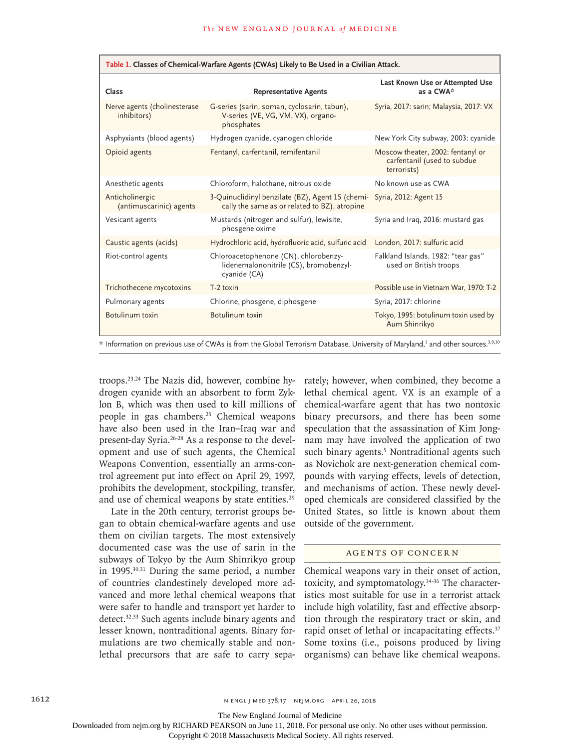| Class                                       | <b>Representative Agents</b>                                                                                                              | Last Known Use or Attempted Use<br>as a CWA*                                    |  |
|---------------------------------------------|-------------------------------------------------------------------------------------------------------------------------------------------|---------------------------------------------------------------------------------|--|
| Nerve agents (cholinesterase<br>inhibitors) | G-series (sarin, soman, cyclosarin, tabun),<br>Syria, 2017: sarin; Malaysia, 2017: VX<br>V-series (VE, VG, VM, VX), organo-<br>phosphates |                                                                                 |  |
| Asphyxiants (blood agents)                  | Hydrogen cyanide, cyanogen chloride                                                                                                       | New York City subway, 2003: cyanide                                             |  |
| Opioid agents                               | Fentanyl, carfentanil, remifentanil                                                                                                       | Moscow theater, 2002: fentanyl or<br>carfentanil (used to subdue<br>terrorists) |  |
| Anesthetic agents                           | Chloroform, halothane, nitrous oxide                                                                                                      | No known use as CWA                                                             |  |
| Anticholinergic<br>(antimuscarinic) agents  | 3-Quinuclidinyl benzilate (BZ), Agent 15 (chemi- Syria, 2012: Agent 15<br>cally the same as or related to BZ), atropine                   |                                                                                 |  |
| Vesicant agents                             | Mustards (nitrogen and sulfur), lewisite,<br>phosgene oxime                                                                               | Syria and Iraq, 2016: mustard gas                                               |  |
| Caustic agents (acids)                      | Hydrochloric acid, hydrofluoric acid, sulfuric acid                                                                                       | London, 2017: sulfuric acid                                                     |  |
| Riot-control agents                         | Chloroacetophenone (CN), chlorobenzy-<br>lidenemalononitrile (CS), bromobenzyl-<br>cyanide (CA)                                           | Falkland Islands, 1982: "tear gas"<br>used on British troops                    |  |
| Trichothecene mycotoxins                    | T-2 toxin                                                                                                                                 | Possible use in Vietnam War, 1970: T-2                                          |  |
| Pulmonary agents                            | Chlorine, phosgene, diphosgene                                                                                                            | Syria, 2017: chlorine                                                           |  |
| Botulinum toxin                             | Botulinum toxin                                                                                                                           | Tokyo, 1995: botulinum toxin used by<br>Aum Shinrikyo                           |  |

troops.23,24 The Nazis did, however, combine hydrogen cyanide with an absorbent to form Zyklon B, which was then used to kill millions of people in gas chambers.<sup>25</sup> Chemical weapons have also been used in the Iran–Iraq war and present-day Syria.<sup>26-28</sup> As a response to the development and use of such agents, the Chemical Weapons Convention, essentially an arms-control agreement put into effect on April 29, 1997, prohibits the development, stockpiling, transfer, and use of chemical weapons by state entities.<sup>29</sup>

Late in the 20th century, terrorist groups began to obtain chemical-warfare agents and use them on civilian targets. The most extensively documented case was the use of sarin in the subways of Tokyo by the Aum Shinrikyo group in 1995.30,31 During the same period, a number of countries clandestinely developed more advanced and more lethal chemical weapons that were safer to handle and transport yet harder to detect.32,33 Such agents include binary agents and lesser known, nontraditional agents. Binary formulations are two chemically stable and nonlethal precursors that are safe to carry separately; however, when combined, they become a lethal chemical agent. VX is an example of a chemical-warfare agent that has two nontoxic binary precursors, and there has been some speculation that the assassination of Kim Jongnam may have involved the application of two such binary agents.<sup>5</sup> Nontraditional agents such as Novichok are next-generation chemical compounds with varying effects, levels of detection, and mechanisms of action. These newly developed chemicals are considered classified by the United States, so little is known about them outside of the government.

## Agents of Concern

Chemical weapons vary in their onset of action, toxicity, and symptomatology.34-36 The characteristics most suitable for use in a terrorist attack include high volatility, fast and effective absorption through the respiratory tract or skin, and rapid onset of lethal or incapacitating effects.<sup>37</sup> Some toxins (i.e., poisons produced by living organisms) can behave like chemical weapons.

The New England Journal of Medicine

Downloaded from nejm.org by RICHARD PEARSON on June 11, 2018. For personal use only. No other uses without permission.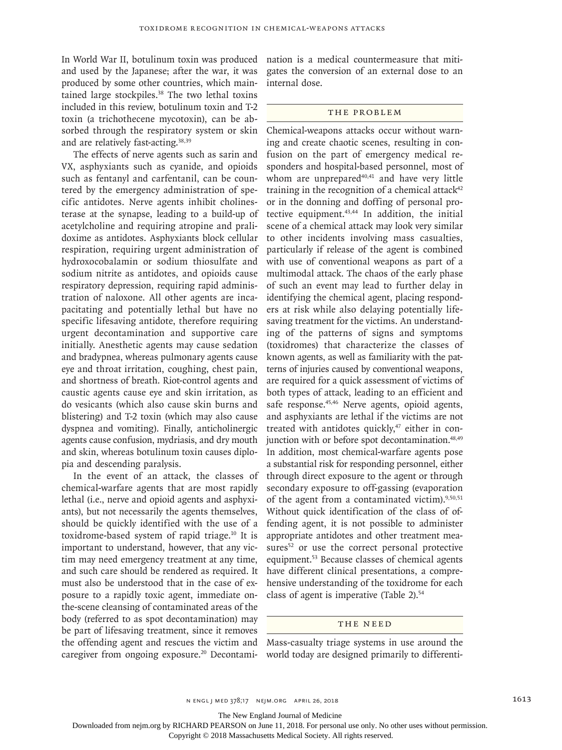In World War II, botulinum toxin was produced and used by the Japanese; after the war, it was produced by some other countries, which maintained large stockpiles.<sup>38</sup> The two lethal toxins included in this review, botulinum toxin and T-2 toxin (a trichothecene mycotoxin), can be absorbed through the respiratory system or skin and are relatively fast-acting.38,39

The effects of nerve agents such as sarin and VX, asphyxiants such as cyanide, and opioids such as fentanyl and carfentanil, can be countered by the emergency administration of specific antidotes. Nerve agents inhibit cholinesterase at the synapse, leading to a build-up of acetylcholine and requiring atropine and pralidoxime as antidotes. Asphyxiants block cellular respiration, requiring urgent administration of hydroxocobalamin or sodium thiosulfate and sodium nitrite as antidotes, and opioids cause respiratory depression, requiring rapid administration of naloxone. All other agents are incapacitating and potentially lethal but have no specific lifesaving antidote, therefore requiring urgent decontamination and supportive care initially. Anesthetic agents may cause sedation and bradypnea, whereas pulmonary agents cause eye and throat irritation, coughing, chest pain, and shortness of breath. Riot-control agents and caustic agents cause eye and skin irritation, as do vesicants (which also cause skin burns and blistering) and T-2 toxin (which may also cause dyspnea and vomiting). Finally, anticholinergic agents cause confusion, mydriasis, and dry mouth and skin, whereas botulinum toxin causes diplopia and descending paralysis.

In the event of an attack, the classes of chemical-warfare agents that are most rapidly lethal (i.e., nerve and opioid agents and asphyxiants), but not necessarily the agents themselves, should be quickly identified with the use of a toxidrome-based system of rapid triage.10 It is important to understand, however, that any victim may need emergency treatment at any time, and such care should be rendered as required. It must also be understood that in the case of exposure to a rapidly toxic agent, immediate onthe-scene cleansing of contaminated areas of the body (referred to as spot decontamination) may be part of lifesaving treatment, since it removes the offending agent and rescues the victim and caregiver from ongoing exposure.<sup>20</sup> Decontami-

nation is a medical countermeasure that mitigates the conversion of an external dose to an internal dose.

## The Problem

Chemical-weapons attacks occur without warning and create chaotic scenes, resulting in confusion on the part of emergency medical responders and hospital-based personnel, most of whom are unprepared $40,41$  and have very little training in the recognition of a chemical attack $42$ or in the donning and doffing of personal protective equipment.43,44 In addition, the initial scene of a chemical attack may look very similar to other incidents involving mass casualties, particularly if release of the agent is combined with use of conventional weapons as part of a multimodal attack. The chaos of the early phase of such an event may lead to further delay in identifying the chemical agent, placing responders at risk while also delaying potentially lifesaving treatment for the victims. An understanding of the patterns of signs and symptoms (toxidromes) that characterize the classes of known agents, as well as familiarity with the patterns of injuries caused by conventional weapons, are required for a quick assessment of victims of both types of attack, leading to an efficient and safe response.<sup>45,46</sup> Nerve agents, opioid agents, and asphyxiants are lethal if the victims are not treated with antidotes quickly, $47$  either in conjunction with or before spot decontamination.<sup>48,49</sup> In addition, most chemical-warfare agents pose a substantial risk for responding personnel, either through direct exposure to the agent or through secondary exposure to off-gassing (evaporation of the agent from a contaminated victim). $9,50,51$ Without quick identification of the class of offending agent, it is not possible to administer appropriate antidotes and other treatment measures<sup>52</sup> or use the correct personal protective equipment.53 Because classes of chemical agents have different clinical presentations, a comprehensive understanding of the toxidrome for each class of agent is imperative (Table 2). $54$ 

## The Need

Mass-casualty triage systems in use around the world today are designed primarily to differenti-

The New England Journal of Medicine

Downloaded from nejm.org by RICHARD PEARSON on June 11, 2018. For personal use only. No other uses without permission.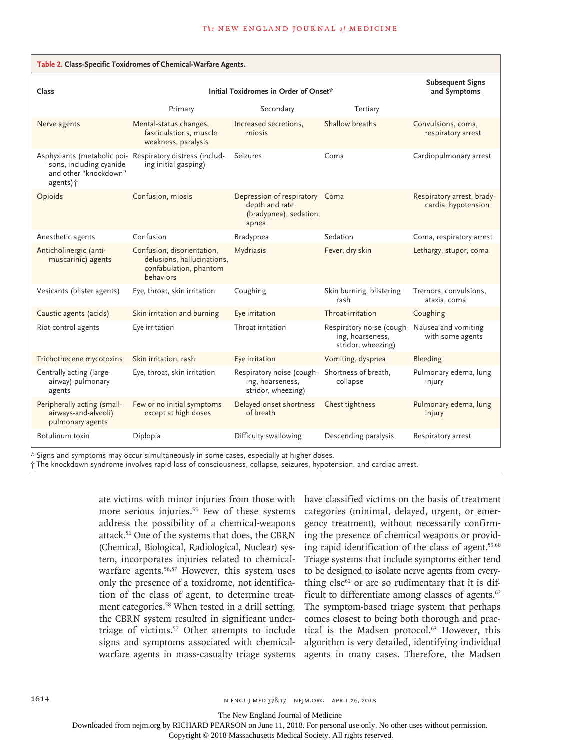| Table 2. Class-Specific Toxidromes of Chemical-Warfare Agents.           |                                                                                                 |                                                                                     |                                                                     |                                                   |  |  |
|--------------------------------------------------------------------------|-------------------------------------------------------------------------------------------------|-------------------------------------------------------------------------------------|---------------------------------------------------------------------|---------------------------------------------------|--|--|
| Class                                                                    | Initial Toxidromes in Order of Onset*                                                           |                                                                                     |                                                                     | <b>Subsequent Signs</b><br>and Symptoms           |  |  |
|                                                                          | Primary                                                                                         | Secondary                                                                           | Tertiary                                                            |                                                   |  |  |
| Nerve agents                                                             | Mental-status changes,<br>fasciculations, muscle<br>weakness, paralysis                         | Increased secretions,<br>miosis                                                     | Shallow breaths                                                     | Convulsions, coma,<br>respiratory arrest          |  |  |
| sons, including cyanide<br>and other "knockdown"<br>agents) <sup>+</sup> | Asphyxiants (metabolic poi- Respiratory distress (includ-<br>ing initial gasping)               | <b>Seizures</b>                                                                     | Coma                                                                | Cardiopulmonary arrest                            |  |  |
| Opioids                                                                  | Confusion, miosis                                                                               | Depression of respiratory Coma<br>depth and rate<br>(bradypnea), sedation,<br>apnea |                                                                     | Respiratory arrest, brady-<br>cardia, hypotension |  |  |
| Anesthetic agents                                                        | Confusion                                                                                       | Bradypnea                                                                           | Sedation                                                            | Coma, respiratory arrest                          |  |  |
| Anticholinergic (anti-<br>muscarinic) agents                             | Confusion, disorientation,<br>delusions, hallucinations,<br>confabulation, phantom<br>behaviors | Mydriasis                                                                           | Fever, dry skin                                                     | Lethargy, stupor, coma                            |  |  |
| Vesicants (blister agents)                                               | Eye, throat, skin irritation                                                                    | Coughing                                                                            | Skin burning, blistering<br>rash                                    | Tremors, convulsions,<br>ataxia, coma             |  |  |
| Caustic agents (acids)                                                   | Skin irritation and burning                                                                     | Eye irritation                                                                      | Throat irritation                                                   | Coughing                                          |  |  |
| Riot-control agents                                                      | Eye irritation                                                                                  | Throat irritation                                                                   | Respiratory noise (cough-<br>ing, hoarseness,<br>stridor, wheezing) | Nausea and vomiting<br>with some agents           |  |  |
| Trichothecene mycotoxins                                                 | Skin irritation, rash                                                                           | Eye irritation                                                                      | Vomiting, dyspnea                                                   | Bleeding                                          |  |  |
| Centrally acting (large-<br>airway) pulmonary<br>agents                  | Eye, throat, skin irritation                                                                    | Respiratory noise (cough-<br>ing, hoarseness,<br>stridor, wheezing)                 | Shortness of breath.<br>collapse                                    | Pulmonary edema, lung<br>injury                   |  |  |
| Peripherally acting (small-<br>airways-and-alveoli)<br>pulmonary agents  | Few or no initial symptoms<br>except at high doses                                              | Delayed-onset shortness<br>of breath                                                | Chest tightness                                                     | Pulmonary edema, lung<br>injury                   |  |  |
| Botulinum toxin                                                          | Diplopia                                                                                        | Difficulty swallowing                                                               | Descending paralysis                                                | Respiratory arrest                                |  |  |

\* Signs and symptoms may occur simultaneously in some cases, especially at higher doses.

† The knockdown syndrome involves rapid loss of consciousness, collapse, seizures, hypotension, and cardiac arrest.

ate victims with minor injuries from those with more serious injuries.<sup>55</sup> Few of these systems address the possibility of a chemical-weapons attack.56 One of the systems that does, the CBRN (Chemical, Biological, Radiological, Nuclear) system, incorporates injuries related to chemicalwarfare agents.<sup>56,57</sup> However, this system uses only the presence of a toxidrome, not identification of the class of agent, to determine treatment categories.<sup>58</sup> When tested in a drill setting, the CBRN system resulted in significant undertriage of victims.<sup>57</sup> Other attempts to include signs and symptoms associated with chemicalwarfare agents in mass-casualty triage systems have classified victims on the basis of treatment categories (minimal, delayed, urgent, or emergency treatment), without necessarily confirming the presence of chemical weapons or providing rapid identification of the class of agent.59,60 Triage systems that include symptoms either tend to be designed to isolate nerve agents from everything else $61$  or are so rudimentary that it is difficult to differentiate among classes of agents.<sup>62</sup> The symptom-based triage system that perhaps comes closest to being both thorough and practical is the Madsen protocol.<sup>63</sup> However, this algorithm is very detailed, identifying individual agents in many cases. Therefore, the Madsen

The New England Journal of Medicine

Downloaded from nejm.org by RICHARD PEARSON on June 11, 2018. For personal use only. No other uses without permission.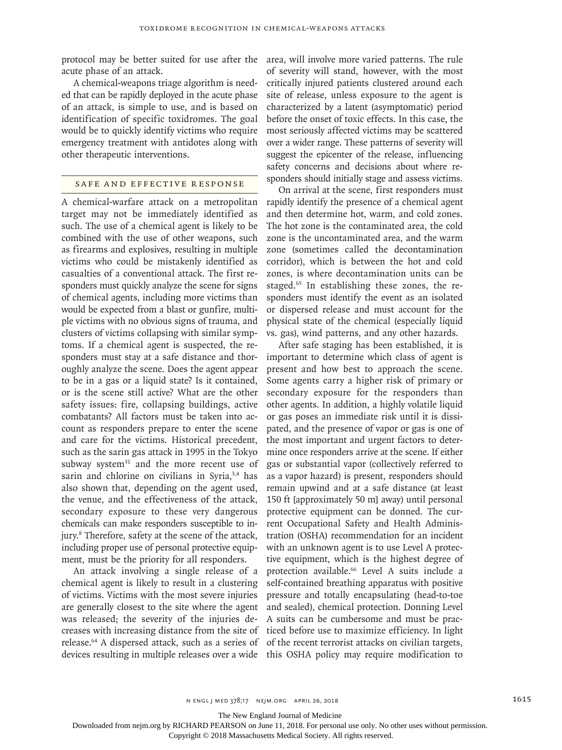acute phase of an attack.

A chemical-weapons triage algorithm is needed that can be rapidly deployed in the acute phase of an attack, is simple to use, and is based on identification of specific toxidromes. The goal would be to quickly identify victims who require emergency treatment with antidotes along with other therapeutic interventions.

# Safe and Effective Response

A chemical-warfare attack on a metropolitan target may not be immediately identified as such. The use of a chemical agent is likely to be combined with the use of other weapons, such as firearms and explosives, resulting in multiple victims who could be mistakenly identified as casualties of a conventional attack. The first responders must quickly analyze the scene for signs of chemical agents, including more victims than would be expected from a blast or gunfire, multiple victims with no obvious signs of trauma, and clusters of victims collapsing with similar symptoms. If a chemical agent is suspected, the responders must stay at a safe distance and thoroughly analyze the scene. Does the agent appear to be in a gas or a liquid state? Is it contained, or is the scene still active? What are the other safety issues: fire, collapsing buildings, active combatants? All factors must be taken into account as responders prepare to enter the scene and care for the victims. Historical precedent, such as the sarin gas attack in 1995 in the Tokyo subway system<sup>31</sup> and the more recent use of sarin and chlorine on civilians in Syria,<sup>3,4</sup> has also shown that, depending on the agent used, the venue, and the effectiveness of the attack, secondary exposure to these very dangerous chemicals can make responders susceptible to injury.8 Therefore, safety at the scene of the attack, including proper use of personal protective equipment, must be the priority for all responders.

An attack involving a single release of a chemical agent is likely to result in a clustering of victims. Victims with the most severe injuries are generally closest to the site where the agent was released; the severity of the injuries decreases with increasing distance from the site of ticed before use to maximize efficiency. In light release.<sup>64</sup> A dispersed attack, such as a series of of the recent terrorist attacks on civilian targets, devices resulting in multiple releases over a wide this OSHA policy may require modification to

protocol may be better suited for use after the area, will involve more varied patterns. The rule of severity will stand, however, with the most critically injured patients clustered around each site of release, unless exposure to the agent is characterized by a latent (asymptomatic) period before the onset of toxic effects. In this case, the most seriously affected victims may be scattered over a wider range. These patterns of severity will suggest the epicenter of the release, influencing safety concerns and decisions about where responders should initially stage and assess victims.

> On arrival at the scene, first responders must rapidly identify the presence of a chemical agent and then determine hot, warm, and cold zones. The hot zone is the contaminated area, the cold zone is the uncontaminated area, and the warm zone (sometimes called the decontamination corridor), which is between the hot and cold zones, is where decontamination units can be staged.<sup>65</sup> In establishing these zones, the responders must identify the event as an isolated or dispersed release and must account for the physical state of the chemical (especially liquid vs. gas), wind patterns, and any other hazards.

> After safe staging has been established, it is important to determine which class of agent is present and how best to approach the scene. Some agents carry a higher risk of primary or secondary exposure for the responders than other agents. In addition, a highly volatile liquid or gas poses an immediate risk until it is dissipated, and the presence of vapor or gas is one of the most important and urgent factors to determine once responders arrive at the scene. If either gas or substantial vapor (collectively referred to as a vapor hazard) is present, responders should remain upwind and at a safe distance (at least 150 ft [approximately 50 m] away) until personal protective equipment can be donned. The current Occupational Safety and Health Administration (OSHA) recommendation for an incident with an unknown agent is to use Level A protective equipment, which is the highest degree of protection available.<sup>66</sup> Level A suits include a self-contained breathing apparatus with positive pressure and totally encapsulating (head-to-toe and sealed), chemical protection. Donning Level A suits can be cumbersome and must be prac-

The New England Journal of Medicine

Downloaded from nejm.org by RICHARD PEARSON on June 11, 2018. For personal use only. No other uses without permission.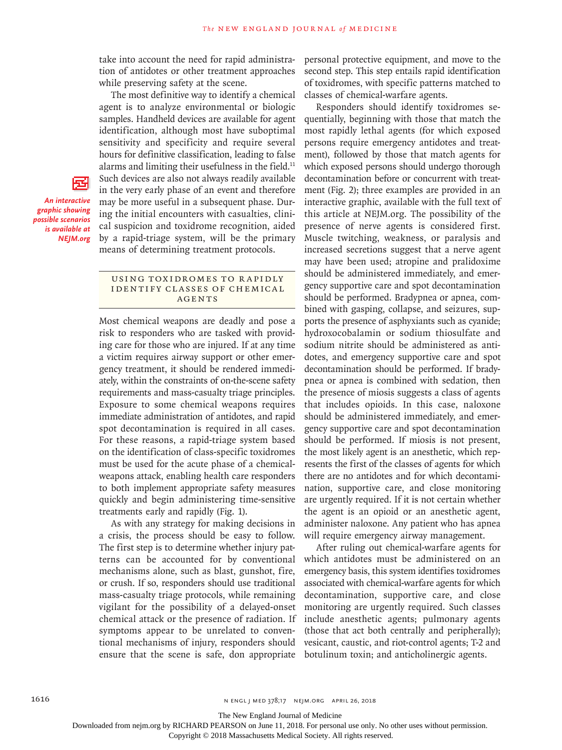take into account the need for rapid administration of antidotes or other treatment approaches while preserving safety at the scene.

The most definitive way to identify a chemical agent is to analyze environmental or biologic samples. Handheld devices are available for agent identification, although most have suboptimal sensitivity and specificity and require several hours for definitive classification, leading to false alarms and limiting their usefulness in the field.<sup>11</sup> Such devices are also not always readily available in the very early phase of an event and therefore may be more useful in a subsequent phase. During the initial encounters with casualties, clinical suspicion and toxidrome recognition, aided by a rapid-triage system, will be the primary means of determining treatment protocols.

## USING TOXIDROMES TO RAPIDLY IDENTIFY CLASSES OF CHEMICAL **AGENTS**

Most chemical weapons are deadly and pose a risk to responders who are tasked with providing care for those who are injured. If at any time a victim requires airway support or other emergency treatment, it should be rendered immediately, within the constraints of on-the-scene safety requirements and mass-casualty triage principles. Exposure to some chemical weapons requires immediate administration of antidotes, and rapid spot decontamination is required in all cases. For these reasons, a rapid-triage system based on the identification of class-specific toxidromes must be used for the acute phase of a chemicalweapons attack, enabling health care responders to both implement appropriate safety measures quickly and begin administering time-sensitive treatments early and rapidly (Fig. 1).

As with any strategy for making decisions in a crisis, the process should be easy to follow. The first step is to determine whether injury patterns can be accounted for by conventional mechanisms alone, such as blast, gunshot, fire, or crush. If so, responders should use traditional mass-casualty triage protocols, while remaining vigilant for the possibility of a delayed-onset chemical attack or the presence of radiation. If symptoms appear to be unrelated to conventional mechanisms of injury, responders should ensure that the scene is safe, don appropriate

personal protective equipment, and move to the second step. This step entails rapid identification of toxidromes, with specific patterns matched to classes of chemical-warfare agents.

Responders should identify toxidromes sequentially, beginning with those that match the most rapidly lethal agents (for which exposed persons require emergency antidotes and treatment), followed by those that match agents for which exposed persons should undergo thorough decontamination before or concurrent with treatment (Fig. 2); three examples are provided in an interactive graphic, available with the full text of this article at NEJM.org. The possibility of the presence of nerve agents is considered first. Muscle twitching, weakness, or paralysis and increased secretions suggest that a nerve agent may have been used; atropine and pralidoxime should be administered immediately, and emergency supportive care and spot decontamination should be performed. Bradypnea or apnea, combined with gasping, collapse, and seizures, supports the presence of asphyxiants such as cyanide; hydroxocobalamin or sodium thiosulfate and sodium nitrite should be administered as antidotes, and emergency supportive care and spot decontamination should be performed. If bradypnea or apnea is combined with sedation, then the presence of miosis suggests a class of agents that includes opioids. In this case, naloxone should be administered immediately, and emergency supportive care and spot decontamination should be performed. If miosis is not present, the most likely agent is an anesthetic, which represents the first of the classes of agents for which there are no antidotes and for which decontamination, supportive care, and close monitoring are urgently required. If it is not certain whether the agent is an opioid or an anesthetic agent, administer naloxone. Any patient who has apnea will require emergency airway management.

After ruling out chemical-warfare agents for which antidotes must be administered on an emergency basis, this system identifies toxidromes associated with chemical-warfare agents for which decontamination, supportive care, and close monitoring are urgently required. Such classes include anesthetic agents; pulmonary agents (those that act both centrally and peripherally); vesicant, caustic, and riot-control agents; T-2 and botulinum toxin; and anticholinergic agents.

*An interactive graphic showing possible scenarios is available at NEJM.org*

The New England Journal of Medicine

Downloaded from nejm.org by RICHARD PEARSON on June 11, 2018. For personal use only. No other uses without permission.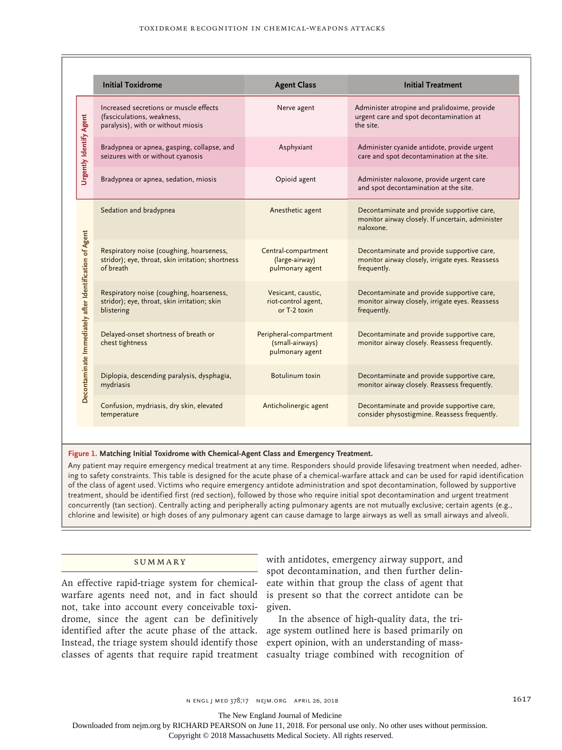|                                                         | <b>Initial Toxidrome</b>                                                                                   | <b>Agent Class</b>                                           | <b>Initial Treatment</b>                                                                                     |
|---------------------------------------------------------|------------------------------------------------------------------------------------------------------------|--------------------------------------------------------------|--------------------------------------------------------------------------------------------------------------|
| Urgently Identify Agent                                 | Increased secretions or muscle effects<br>(fasciculations, weakness,<br>paralysis), with or without miosis | Nerve agent                                                  | Administer atropine and pralidoxime, provide<br>urgent care and spot decontamination at<br>the site.         |
|                                                         | Bradypnea or apnea, gasping, collapse, and<br>seizures with or without cyanosis                            | Asphyxiant                                                   | Administer cyanide antidote, provide urgent<br>care and spot decontamination at the site.                    |
|                                                         | Bradypnea or apnea, sedation, miosis                                                                       | Opioid agent                                                 | Administer naloxone, provide urgent care<br>and spot decontamination at the site.                            |
| Decontaminate Immediately after Identification of Agent | Sedation and bradypnea                                                                                     | Anesthetic agent                                             | Decontaminate and provide supportive care,<br>monitor airway closely. If uncertain, administer<br>naloxone.  |
|                                                         | Respiratory noise (coughing, hoarseness,<br>stridor); eye, throat, skin irritation; shortness<br>of breath | Central-compartment<br>(large-airway)<br>pulmonary agent     | Decontaminate and provide supportive care,<br>monitor airway closely, irrigate eyes. Reassess<br>frequently. |
|                                                         | Respiratory noise (coughing, hoarseness,<br>stridor); eye, throat, skin irritation; skin<br>blistering     | Vesicant, caustic,<br>riot-control agent,<br>or T-2 toxin    | Decontaminate and provide supportive care,<br>monitor airway closely, irrigate eyes. Reassess<br>frequently. |
|                                                         | Delayed-onset shortness of breath or<br>chest tightness                                                    | Peripheral-compartment<br>(small-airways)<br>pulmonary agent | Decontaminate and provide supportive care,<br>monitor airway closely. Reassess frequently.                   |
|                                                         | Diplopia, descending paralysis, dysphagia,<br>mydriasis                                                    | Botulinum toxin                                              | Decontaminate and provide supportive care,<br>monitor airway closely. Reassess frequently.                   |
|                                                         | Confusion, mydriasis, dry skin, elevated<br>temperature                                                    | Anticholinergic agent                                        | Decontaminate and provide supportive care,<br>consider physostigmine. Reassess frequently.                   |

## **Figure 1. Matching Initial Toxidrome with Chemical-Agent Class and Emergency Treatment.**

Any patient may require emergency medical treatment at any time. Responders should provide lifesaving treatment when needed, adhering to safety constraints. This table is designed for the acute phase of a chemical-warfare attack and can be used for rapid identification of the class of agent used. Victims who require emergency antidote administration and spot decontamination, followed by supportive treatment, should be identified first (red section), followed by those who require initial spot decontamination and urgent treatment concurrently (tan section). Centrally acting and peripherally acting pulmonary agents are not mutually exclusive; certain agents (e.g., chlorine and lewisite) or high doses of any pulmonary agent can cause damage to large airways as well as small airways and alveoli.

## **SUMMARY**

An effective rapid-triage system for chemicalwarfare agents need not, and in fact should is present so that the correct antidote can be not, take into account every conceivable toxidrome, since the agent can be definitively identified after the acute phase of the attack. age system outlined here is based primarily on Instead, the triage system should identify those expert opinion, with an understanding of mass-

with antidotes, emergency airway support, and spot decontamination, and then further delineate within that group the class of agent that given.

classes of agents that require rapid treatment casualty triage combined with recognition of In the absence of high-quality data, the tri-

The New England Journal of Medicine

Downloaded from nejm.org by RICHARD PEARSON on June 11, 2018. For personal use only. No other uses without permission.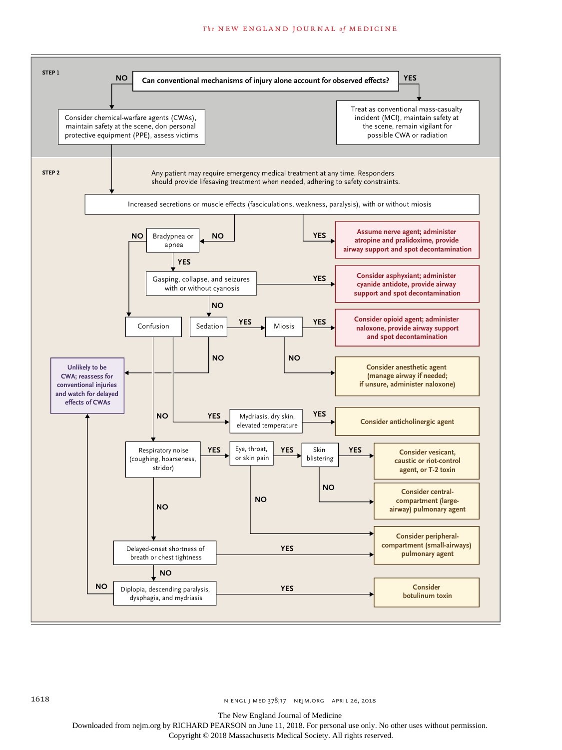

The New England Journal of Medicine

Downloaded from nejm.org by RICHARD PEARSON on June 11, 2018. For personal use only. No other uses without permission.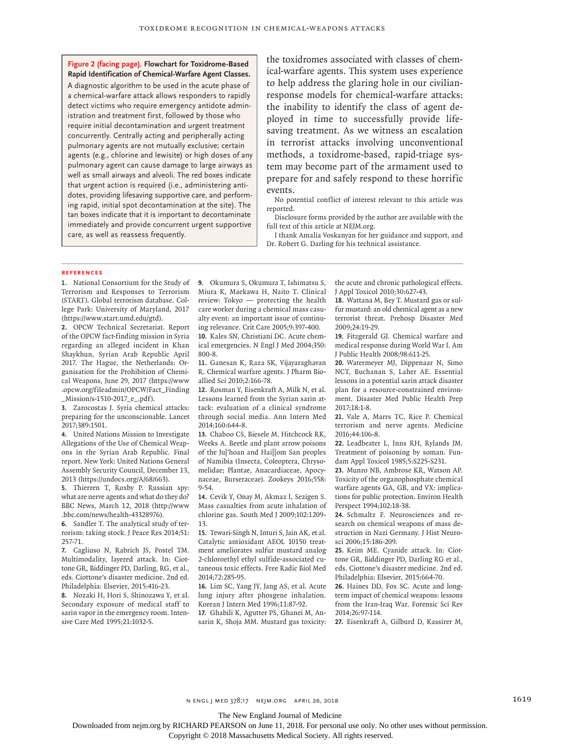**Figure 2 (facing page). Flowchart for Toxidrome-Based Rapid Identification of Chemical-Warfare Agent Classes.**

A diagnostic algorithm to be used in the acute phase of a chemical-warfare attack allows responders to rapidly detect victims who require emergency antidote administration and treatment first, followed by those who require initial decontamination and urgent treatment concurrently. Centrally acting and peripherally acting pulmonary agents are not mutually exclusive; certain agents (e.g., chlorine and lewisite) or high doses of any pulmonary agent can cause damage to large airways as well as small airways and alveoli. The red boxes indicate that urgent action is required (i.e., administering antidotes, providing lifesaving supportive care, and performing rapid, initial spot decontamination at the site). The tan boxes indicate that it is important to decontaminate immediately and provide concurrent urgent supportive care, as well as reassess frequently.

the toxidromes associated with classes of chemical-warfare agents. This system uses experience to help address the glaring hole in our civilianresponse models for chemical-warfare attacks: the inability to identify the class of agent deployed in time to successfully provide lifesaving treatment. As we witness an escalation in terrorist attacks involving unconventional methods, a toxidrome-based, rapid-triage system may become part of the armament used to prepare for and safely respond to these horrific events.

No potential conflict of interest relevant to this article was reported.

Disclosure forms provided by the author are available with the full text of this article at NEJM.org.

I thank Amalia Voskanyan for her guidance and support, and Dr. Robert G. Darling for his technical assistance.

#### **References**

**1.** National Consortium for the Study of Terrorism and Responses to Terrorism (START). Global terrorism database. College Park: University of Maryland, 2017 (https://www.start.umd.edu/gtd).

**2.** OPCW Technical Secretariat. Report of the OPCW fact-finding mission in Syria regarding an alleged incident in Khan Shaykhun, Syrian Arab Republic April 2017. The Hague, the Netherlands: Organisation for the Prohibition of Chemical Weapons, June 29, 2017 (https://www .opcw.org/fileadmin/OPCW/Fact\_Finding \_Mission/s-1510-2017\_e\_.pdf).

**3.** Zarocostas J. Syria chemical attacks: preparing for the unconscionable. Lancet 2017;389:1501.

**4.** United Nations Mission to Investigate Allegations of the Use of Chemical Weapons in the Syrian Arab Republic. Final report. New York: United Nations General Assembly Security Council, December 13, 2013 (https://undocs.org/A/68/663).

**5.** Thierren T, Roxby P. Russian spy: what are nerve agents and what do they do? BBC News, March 12, 2018 (http://www .bbc.com/news/health-43328976).

**6.** Sandler T. The analytical study of terrorism: taking stock. J Peace Res 2014;51: 257-71.

**7.** Cagliuso N, Rabrich JS, Postel TM. Multimodality, layered attack. In: Ciottone GR, Biddinger PD, Darling, RG, et al., eds. Ciottone's disaster medicine. 2nd ed. Philadelphia: Elsevier, 2015:416-23.

**8.** Nozaki H, Hori S, Shinozawa Y, et al. Secondary exposure of medical staff to sarin vapor in the emergency room. Intensive Care Med 1995;21:1032-5.

**9.** Okumura S, Okumura T, Ishimatsu S, Miura K, Maekawa H, Naito T. Clinical review: Tokyo — protecting the health care worker during a chemical mass casualty event: an important issue of continuing relevance. Crit Care 2005;9:397-400. **10.** Kales SN, Christiani DC. Acute chemical emergencies. N Engl J Med 2004;350: 800-8.

**11.** Ganesan K, Raza SK, Vijayaraghavan R. Chemical warfare agents. J Pharm Bioallied Sci 2010;2:166-78.

**12.** Rosman Y, Eisenkraft A, Milk N, et al. Lessons learned from the Syrian sarin attack: evaluation of a clinical syndrome through social media. Ann Intern Med 2014;160:644-8.

**13.** Chaboo CS, Biesele M, Hitchcock RK, Weeks A. Beetle and plant arrow poisons of the Ju|'hoan and Hai||om San peoples of Namibia (Insecta, Coleoptera, Chrysomelidae; Plantae, Anacardiaceae, Apocynaceae, Burseraceae). Zookeys 2016;558: 9-54.

**14.** Cevik Y, Onay M, Akmaz I, Sezigen S. Mass casualties from acute inhalation of chlorine gas. South Med J 2009;102:1209- 13.

**15.** Tewari-Singh N, Inturi S, Jain AK, et al. Catalytic antioxidant AEOL 10150 treatment ameliorates sulfur mustard analog 2-chloroethyl ethyl sulfide-associated cutaneous toxic effects. Free Radic Biol Med 2014;72:285-95.

**16.** Lim SC, Yang JY, Jang AS, et al. Acute lung injury after phosgene inhalation. Korean J Intern Med 1996;11:87-92.

**17.** Ghabili K, Agutter PS, Ghanei M, Ansarin K, Shoja MM. Mustard gas toxicity:

the acute and chronic pathological effects. J Appl Toxicol 2010;30:627-43.

**18.** Wattana M, Bey T. Mustard gas or sulfur mustard: an old chemical agent as a new terrorist threat. Prehosp Disaster Med 2009;24:19-29.

**19.** Fitzgerald GJ. Chemical warfare and medical response during World War I. Am J Public Health 2008;98:611-25.

**20.** Watermeyer MJ, Dippenaar N, Simo NCT, Buchanan S, Laher AE. Essential lessons in a potential sarin attack disaster plan for a resource-constrained environment. Disaster Med Public Health Prep 2017;18:1-8.

**21.** Vale A, Marrs TC, Rice P. Chemical terrorism and nerve agents. Medicine 2016;44:106-8.

**22.** Leadbeater L, Inns RH, Rylands JM. Treatment of poisoning by soman. Fundam Appl Toxicol 1985;5:S225-S231.

**23.** Munro NB, Ambrose KR, Watson AP. Toxicity of the organophosphate chemical warfare agents GA, GB, and VX: implications for public protection. Environ Health Perspect 1994;102:18-38.

**24.** Schmaltz F. Neurosciences and research on chemical weapons of mass destruction in Nazi Germany. J Hist Neurosci 2006;15:186-209.

**25.** Keim ME. Cyanide attack. In: Ciottone GR, Biddinger PD, Darling RG et al., eds. Ciottone's disaster medicine. 2nd ed. Philadelphia: Elsevier, 2015:664-70.

**26.** Haines DD, Fox SC. Acute and longterm impact of chemical weapons: lessons from the Iran-Iraq War. Forensic Sci Rev 2014;26:97-114.

**27.** Eisenkraft A, Gilburd D, Kassirer M,

The New England Journal of Medicine

Downloaded from nejm.org by RICHARD PEARSON on June 11, 2018. For personal use only. No other uses without permission.